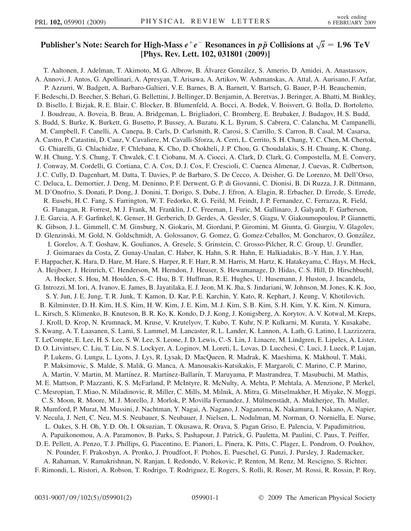## Publisher's Note: Search for High-Mass  $e^+e^-$  Resonances in  $p\bar{p}$  Collisions at  $\sqrt{s}$ <br>[Phys. Rev. Lett. 102, 031801 (2009)]  $\sqrt{s} = 1.96 \text{ TeV}$ [Phys. Rev. Lett. 102, 031801 (2009)]

T. Aaltonen, J. Adelman, T. Akimoto, M. G. Albrow, B. Álvarez González, S. Amerio, D. Amidei, A. Anastassov, A. Annovi, J. Antos, G. Apollinari, A. Apresyan, T. Arisawa, A. Artikov, W. Ashmanskas, A. Attal, A. Aurisano, F. Azfar, P. Azzurri, W. Badgett, A. Barbaro-Galtieri, V. E. Barnes, B. A. Barnett, V. Bartsch, G. Bauer, P.-H. Beauchemin, F. Bedeschi, D. Beecher, S. Behari, G. Bellettini, J. Bellinger, D. Benjamin, A. Beretvas, J. Beringer, A. Bhatti, M. Binkley, D. Bisello, I. Bizjak, R. E. Blair, C. Blocker, B. Blumenfeld, A. Bocci, A. Bodek, V. Boisvert, G. Bolla, D. Bortoletto, J. Boudreau, A. Boveia, B. Brau, A. Bridgeman, L. Brigliadori, C. Bromberg, E. Brubaker, J. Budagov, H. S. Budd, S. Budd, S. Burke, K. Burkett, G. Busetto, P. Bussey, A. Buzatu, K. L. Byrum, S. Cabrera, C. Calancha, M. Campanelli, M. Campbell, F. Canelli, A. Canepa, B. Carls, D. Carlsmith, R. Carosi, S. Carrillo, S. Carron, B. Casal, M. Casarsa, A. Castro, P. Catastini, D. Cauz, V. Cavaliere, M. Cavalli-Sforza, A. Cerri, L. Cerrito, S. H. Chang, Y. C. Chen, M. Chertok, G. Chiarelli, G. Chlachidze, F. Chlebana, K. Cho, D. Chokheli, J. P. Chou, G. Choudalakis, S. H. Chuang, K. Chung, W. H. Chung, Y. S. Chung, T. Chwalek, C. I. Ciobanu, M. A. Ciocci, A. Clark, D. Clark, G. Compostella, M. E. Convery, J. Conway, M. Cordelli, G. Cortiana, C. A. Cox, D. J. Cox, F. Crescioli, C. Cuenca Almenar, J. Cuevas, R. Culbertson, J. C. Cully, D. Dagenhart, M. Datta, T. Davies, P. de Barbaro, S. De Cecco, A. Deisher, G. De Lorenzo, M. Dell'Orso, C. Deluca, L. Demortier, J. Deng, M. Deninno, P. F. Derwent, G. P. di Giovanni, C. Dionisi, B. Di Ruzza, J. R. Dittmann, M. D'Onofrio, S. Donati, P. Dong, J. Donini, T. Dorigo, S. Dube, J. Efron, A. Elagin, R. Erbacher, D. Errede, S. Errede, R. Eusebi, H. C. Fang, S. Farrington, W. T. Fedorko, R. G. Feild, M. Feindt, J. P. Fernandez, C. Ferrazza, R. Field, G. Flanagan, R. Forrest, M. J. Frank, M. Franklin, J. C. Freeman, I. Furic, M. Gallinaro, J. Galyardt, F. Garberson, J. E. Garcia, A. F. Garfinkel, K. Genser, H. Gerberich, D. Gerdes, A. Gessler, S. Giagu, V. Giakoumopoulou, P. Giannetti, K. Gibson, J. L. Gimmell, C. M. Ginsburg, N. Giokaris, M. Giordani, P. Giromini, M. Giunta, G. Giurgiu, V. Glagolev, D. Glenzinski, M. Gold, N. Goldschmidt, A. Golossanov, G. Gomez, G. Gomez-Ceballos, M. Goncharov, O. González, I. Gorelov, A. T. Goshaw, K. Goulianos, A. Gresele, S. Grinstein, C. Grosso-Pilcher, R. C. Group, U. Grundler, J. Guimaraes da Costa, Z. Gunay-Unalan, C. Haber, K. Hahn, S. R. Hahn, E. Halkiadakis, B.-Y. Han, J. Y. Han, F. Happacher, K. Hara, D. Hare, M. Hare, S. Harper, R. F. Harr, R. M. Harris, M. Hartz, K. Hatakeyama, C. Hays, M. Heck, A. Heijboer, J. Heinrich, C. Henderson, M. Herndon, J. Heuser, S. Hewamanage, D. Hidas, C. S. Hill, D. Hirschbuehl, A. Hocker, S. Hou, M. Houlden, S.-C. Hsu, B. T. Huffman, R. E. Hughes, U. Husemann, J. Huston, J. Incandela, G. Introzzi, M. Iori, A. Ivanov, E. James, B. Jayatilaka, E. J. Jeon, M. K. Jha, S. Jindariani, W. Johnson, M. Jones, K. K. Joo, S. Y. Jun, J. E. Jung, T. R. Junk, T. Kamon, D. Kar, P. E. Karchin, Y. Kato, R. Kephart, J. Keung, V. Khotilovich, B. Kilminster, D. H. Kim, H. S. Kim, H. W. Kim, J. E. Kim, M. J. Kim, S. B. Kim, S. H. Kim, Y. K. Kim, N. Kimura, L. Kirsch, S. Klimenko, B. Knuteson, B. R. Ko, K. Kondo, D. J. Kong, J. Konigsberg, A. Korytov, A. V. Kotwal, M. Kreps, J. Kroll, D. Krop, N. Krumnack, M. Kruse, V. Krutelyov, T. Kubo, T. Kuhr, N. P. Kulkarni, M. Kurata, Y. Kusakabe, S. Kwang, A. T. Laasanen, S. Lami, S. Lammel, M. Lancaster, R. L. Lander, K. Lannon, A. Lath, G. Latino, I. Lazzizzera, T. LeCompte, E. Lee, H. S. Lee, S. W. Lee, S. Leone, J. D. Lewis, C.-S. Lin, J. Linacre, M. Lindgren, E. Lipeles, A. Lister, D. O. Litvintsev, C. Liu, T. Liu, N. S. Lockyer, A. Loginov, M. Loreti, L. Lovas, D. Lucchesi, C. Luci, J. Lueck, P. Lujan, P. Lukens, G. Lungu, L. Lyons, J. Lys, R. Lysak, D. MacQueen, R. Madrak, K. Maeshima, K. Makhoul, T. Maki, P. Maksimovic, S. Malde, S. Malik, G. Manca, A. Manousakis-Katsikakis, F. Margaroli, C. Marino, C. P. Marino, A. Martin, V. Martin, M. Martínez, R. Martínez-Ballarín, T. Maruyama, P. Mastrandrea, T. Masubuchi, M. Mathis, M. E. Mattson, P. Mazzanti, K. S. McFarland, P. McIntyre, R. McNulty, A. Mehta, P. Mehtala, A. Menzione, P. Merkel, C. Mesropian, T. Miao, N. Miladinovic, R. Miller, C. Mills, M. Milnik, A. Mitra, G. Mitselmakher, H. Miyake, N. Moggi, C. S. Moon, R. Moore, M. J. Morello, J. Morlok, P. Movilla Fernandez, J. Mülmenstädt, A. Mukherjee, Th. Muller, R. Mumford, P. Murat, M. Mussini, J. Nachtman, Y. Nagai, A. Nagano, J. Naganoma, K. Nakamura, I. Nakano, A. Napier, V. Necula, J. Nett, C. Neu, M. S. Neubauer, S. Neubauer, J. Nielsen, L. Nodulman, M. Norman, O. Norniella, E. Nurse, L. Oakes, S. H. Oh, Y. D. Oh, I. Oksuzian, T. Okusawa, R. Orava, S. Pagan Griso, E. Palencia, V. Papadimitriou, A. Papaikonomou, A. A. Paramonov, B. Parks, S. Pashapour, J. Patrick, G. Pauletta, M. Paulini, C. Paus, T. Peiffer, D. E. Pellett, A. Penzo, T. J. Phillips, G. Piacentino, E. Pianori, L. Pinera, K. Pitts, C. Plager, L. Pondrom, O. Poukhov, N. Pounder, F. Prakoshyn, A. Pronko, J. Proudfoot, F. Ptohos, E. Pueschel, G. Punzi, J. Pursley, J. Rademacker, A. Rahaman, V. Ramakrishnan, N. Ranjan, I. Redondo, V. Rekovic, P. Renton, M. Renz, M. Rescigno, S. Richter,

F. Rimondi, L. Ristori, A. Robson, T. Rodrigo, T. Rodriguez, E. Rogers, S. Rolli, R. Roser, M. Rossi, R. Rossin, P. Roy,